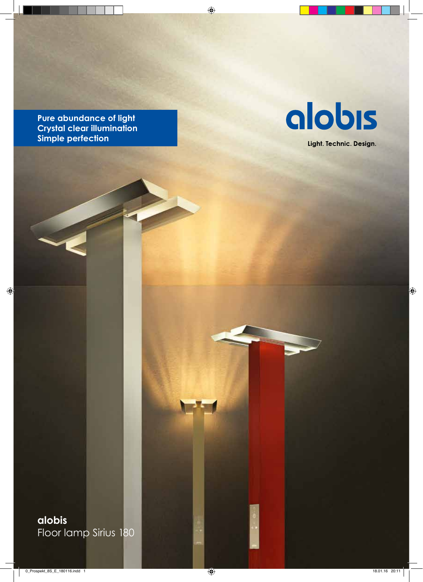**Pure abundance of light Crystal clear illumination Simple perfection**



Light. Technic. Design.

**alobis** Floor lamp Sirius 180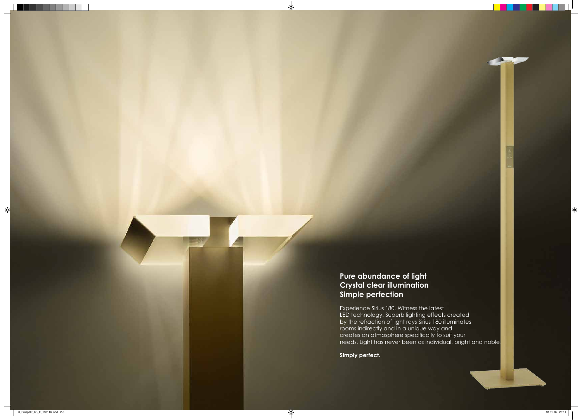# **Pure abundance of light Crystal clear illumination Simple perfection**

Experience Sirius 180. Witness the latest LED technology. Superb lighting effects created by the refraction of light rays Sirius 180 illuminates rooms indirectly and in a unique way and creates an atmosphere specifically to suit your needs. Light has never been as individual, bright and noble.

**Simply perfect.**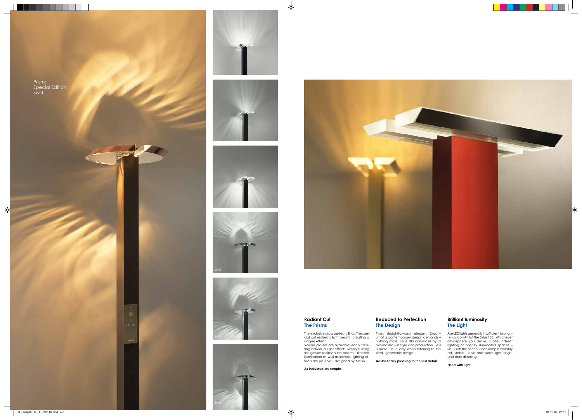# **Reduced to Perfection The Design**

Plain, straightforward, elegant. Exactly what a contemporary design demands – nothing more. Sirius 180 convinces by its minimalism – in style and production. Less is more – but only when referring to the sleek, geometric design.

**Aesthetically pleasing to the last detail.**

# **Brilliant luminosity The Light**

Are LED lights generally insufficient to brighten a room? Not the Sirius 180. Whichever atmosphere you desire, subtle indirect lighting or brightly illuminated spaces – Sirius sets the scene. Each lamp is variably adjustable – cold and warm light, bright and dark dimming.

**Filled with light.**

**Radiant Cut The Prisms**

The exclusive glass perfects Sirius. The special cut redirects light beams, creating a unique effect.

Various glasses are available, each creating individual light effects. Simply turning the glasses redirects the beams. Directed illumination as well as indirect lighting effects are possible – designed by Alobis.

**As individual as people.**

Prisms Special Edition: Swirl











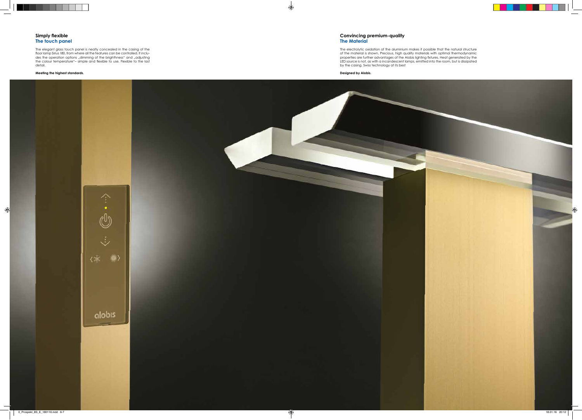# **Simply flexible The touch panel**

The elegant glass touch panel is neatly concealed in the casing of the floor lamp Sirius 180, from where all the features can be controlled. It includes the operation options "dimming of the brighthness" and "adjusting the colour temperature"– simple and flexible to use. Flexible to the last detail.

#### **Meeting the highest standards.**

#### **Convincing premium-quality The Material**

The electrolytic oxidation of the aluminium makes it possible that the natural structure of the material is shown. Precious, high quality materials with optimal thermodynamic properties are further advantages of the Alobis lighting fixtures. Heat generated by the LED source is not, as with a incandescent lamps, emitted into the room, but is dissipated by the casing. Swiss technology at its best

**Designed by Alobis.**